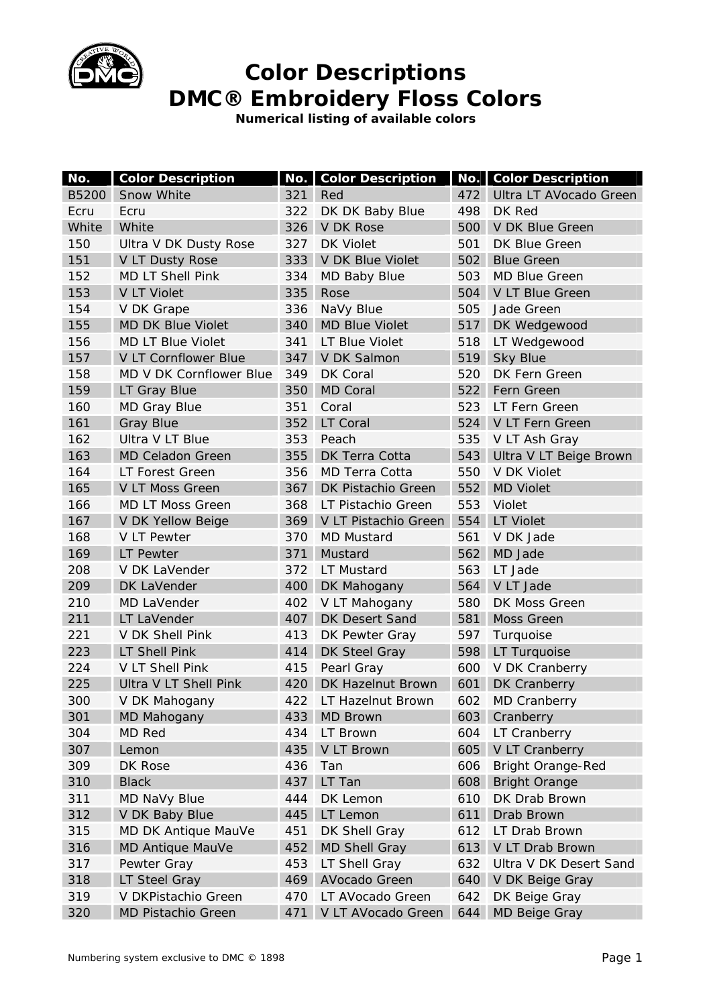

**Numerical listing of available colors** 

| No.   | <b>Color Description</b> |     | <b>No.</b> Color Description |     | <b>No. Color Description</b> |
|-------|--------------------------|-----|------------------------------|-----|------------------------------|
| B5200 | Snow White               | 321 | Red                          | 472 | Ultra LT AVocado Green       |
| Ecru  | Ecru                     | 322 | DK DK Baby Blue              | 498 | DK Red                       |
| White | White                    | 326 | <b>V DK Rose</b>             | 500 | V DK Blue Green              |
| 150   | Ultra V DK Dusty Rose    | 327 | <b>DK Violet</b>             | 501 | DK Blue Green                |
| 151   | V LT Dusty Rose          | 333 | V DK Blue Violet             | 502 | <b>Blue Green</b>            |
| 152   | <b>MD LT Shell Pink</b>  | 334 | MD Baby Blue                 | 503 | <b>MD Blue Green</b>         |
| 153   | <b>V LT Violet</b>       | 335 | Rose                         | 504 | V LT Blue Green              |
| 154   | V DK Grape               | 336 | NaVy Blue                    | 505 | Jade Green                   |
| 155   | <b>MD DK Blue Violet</b> | 340 | <b>MD Blue Violet</b>        |     | 517 DK Wedgewood             |
| 156   | <b>MD LT Blue Violet</b> | 341 | LT Blue Violet               | 518 | LT Wedgewood                 |
| 157   | V LT Cornflower Blue     | 347 | V DK Salmon                  | 519 | <b>Sky Blue</b>              |
| 158   | MD V DK Cornflower Blue  | 349 | DK Coral                     | 520 | DK Fern Green                |
| 159   | LT Gray Blue             | 350 | <b>MD Coral</b>              |     | 522 Fern Green               |
| 160   | <b>MD Gray Blue</b>      | 351 | Coral                        | 523 | LT Fern Green                |
| 161   | <b>Gray Blue</b>         | 352 | LT Coral                     | 524 | V LT Fern Green              |
| 162   | Ultra V LT Blue          | 353 | Peach                        | 535 | V LT Ash Gray                |
| 163   | <b>MD Celadon Green</b>  | 355 | DK Terra Cotta               | 543 | Ultra V LT Beige Brown       |
| 164   | LT Forest Green          | 356 | <b>MD Terra Cotta</b>        | 550 | V DK Violet                  |
| 165   | V LT Moss Green          | 367 | DK Pistachio Green           | 552 | <b>MD Violet</b>             |
| 166   | <b>MD LT Moss Green</b>  | 368 | LT Pistachio Green           | 553 | Violet                       |
| 167   | V DK Yellow Beige        | 369 | V LT Pistachio Green         | 554 | <b>LT Violet</b>             |
| 168   | V LT Pewter              | 370 | <b>MD Mustard</b>            | 561 | V DK Jade                    |
| 169   | LT Pewter                | 371 | Mustard                      | 562 | MD Jade                      |
| 208   | V DK LaVender            | 372 | LT Mustard                   | 563 | LT Jade                      |
| 209   | DK LaVender              | 400 | DK Mahogany                  | 564 | V LT Jade                    |
| 210   | MD LaVender              | 402 | V LT Mahogany                | 580 | DK Moss Green                |
| 211   | LT LaVender              | 407 | DK Desert Sand               | 581 | Moss Green                   |
| 221   | V DK Shell Pink          | 413 | DK Pewter Gray               | 597 | Turquoise                    |
| 223   | <b>LT Shell Pink</b>     | 414 | DK Steel Gray                | 598 | LT Turquoise                 |
| 224   | V LT Shell Pink          | 415 | Pearl Gray                   | 600 | V DK Cranberry               |
| 225   | Ultra V LT Shell Pink    | 420 | DK Hazelnut Brown            | 601 | DK Cranberry                 |
| 300   | V DK Mahogany            | 422 | LT Hazelnut Brown            | 602 | <b>MD Cranberry</b>          |
| 301   | MD Mahogany              | 433 | <b>MD Brown</b>              | 603 | Cranberry                    |
| 304   | <b>MD Red</b>            | 434 | LT Brown                     | 604 | LT Cranberry                 |
| 307   | Lemon                    | 435 | V LT Brown                   | 605 | V LT Cranberry               |
| 309   | DK Rose                  | 436 | Tan                          | 606 | <b>Bright Orange-Red</b>     |
| 310   | <b>Black</b>             | 437 | LT Tan                       | 608 | <b>Bright Orange</b>         |
| 311   | MD NaVy Blue             | 444 | DK Lemon                     | 610 | DK Drab Brown                |
| 312   | V DK Baby Blue           | 445 | LT Lemon                     | 611 | Drab Brown                   |
| 315   | MD DK Antique MauVe      | 451 | DK Shell Gray                | 612 | LT Drab Brown                |
| 316   | <b>MD Antique MauVe</b>  | 452 | <b>MD Shell Gray</b>         | 613 | V LT Drab Brown              |
| 317   | Pewter Gray              | 453 | LT Shell Gray                | 632 | Ultra V DK Desert Sand       |
| 318   | LT Steel Gray            | 469 | AVocado Green                | 640 | V DK Beige Gray              |
| 319   | V DKPistachio Green      | 470 | LT AVocado Green             | 642 | DK Beige Gray                |
| 320   | MD Pistachio Green       | 471 | V LT AVocado Green           | 644 | MD Beige Gray                |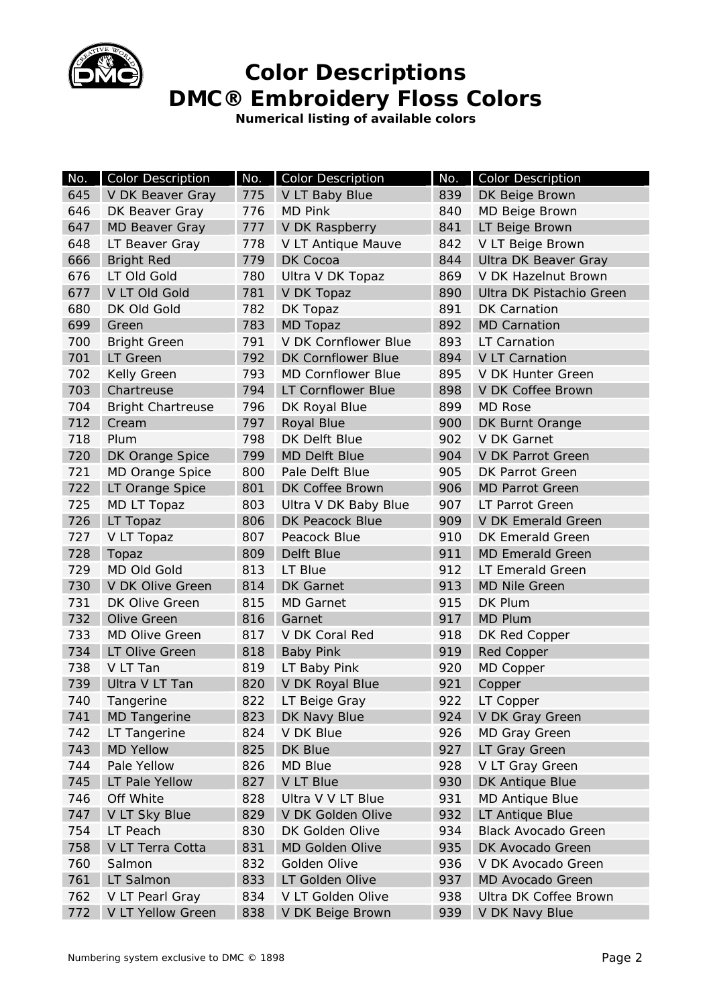

**Numerical listing of available colors** 

| No. | <b>Color Description</b> | No. | <b>Color Description</b>  | No. | <b>Color Description</b>   |  |
|-----|--------------------------|-----|---------------------------|-----|----------------------------|--|
| 645 | V DK Beaver Gray         | 775 | V LT Baby Blue            | 839 | DK Beige Brown             |  |
| 646 | DK Beaver Gray           | 776 | <b>MD Pink</b>            | 840 | MD Beige Brown             |  |
| 647 | <b>MD Beaver Gray</b>    | 777 | V DK Raspberry            | 841 | LT Beige Brown             |  |
| 648 | LT Beaver Gray           | 778 | V LT Antique Mauve        | 842 | V LT Beige Brown           |  |
| 666 | <b>Bright Red</b>        | 779 | DK Cocoa                  | 844 | Ultra DK Beaver Gray       |  |
| 676 | LT Old Gold              | 780 | Ultra V DK Topaz          | 869 | V DK Hazelnut Brown        |  |
| 677 | V LT Old Gold            | 781 | V DK Topaz                | 890 | Ultra DK Pistachio Green   |  |
| 680 | DK Old Gold              | 782 | DK Topaz                  | 891 | <b>DK Carnation</b>        |  |
| 699 | Green                    | 783 | <b>MD Topaz</b>           | 892 | <b>MD Carnation</b>        |  |
| 700 | <b>Bright Green</b>      | 791 | V DK Cornflower Blue      | 893 | <b>LT Carnation</b>        |  |
| 701 | LT Green                 | 792 | <b>DK Cornflower Blue</b> | 894 | V LT Carnation             |  |
| 702 | <b>Kelly Green</b>       | 793 | <b>MD Cornflower Blue</b> | 895 | V DK Hunter Green          |  |
| 703 | Chartreuse               | 794 | LT Cornflower Blue        | 898 | V DK Coffee Brown          |  |
| 704 | <b>Bright Chartreuse</b> | 796 | DK Royal Blue             | 899 | <b>MD Rose</b>             |  |
| 712 | Cream                    | 797 | Royal Blue                | 900 | DK Burnt Orange            |  |
| 718 | Plum                     | 798 | DK Delft Blue             | 902 | V DK Garnet                |  |
| 720 | DK Orange Spice          | 799 | MD Delft Blue             | 904 | V DK Parrot Green          |  |
| 721 | <b>MD Orange Spice</b>   | 800 | Pale Delft Blue           | 905 | DK Parrot Green            |  |
| 722 | LT Orange Spice          | 801 | DK Coffee Brown           | 906 | <b>MD Parrot Green</b>     |  |
| 725 | MD LT Topaz              | 803 | Ultra V DK Baby Blue      | 907 | <b>LT Parrot Green</b>     |  |
| 726 | LT Topaz                 | 806 | DK Peacock Blue           | 909 | V DK Emerald Green         |  |
| 727 | V LT Topaz               | 807 | Peacock Blue              | 910 | <b>DK Emerald Green</b>    |  |
| 728 | Topaz                    | 809 | Delft Blue                | 911 | <b>MD Emerald Green</b>    |  |
| 729 | <b>MD Old Gold</b>       | 813 | LT Blue                   | 912 | LT Emerald Green           |  |
| 730 | V DK Olive Green         | 814 | <b>DK</b> Garnet          | 913 | <b>MD Nile Green</b>       |  |
| 731 | DK Olive Green           | 815 | <b>MD Garnet</b>          | 915 | DK Plum                    |  |
| 732 | <b>Olive Green</b>       | 816 | Garnet                    | 917 | <b>MD Plum</b>             |  |
| 733 | <b>MD Olive Green</b>    | 817 | V DK Coral Red            | 918 | DK Red Copper              |  |
| 734 | LT Olive Green           | 818 | <b>Baby Pink</b>          | 919 | <b>Red Copper</b>          |  |
| 738 | V LT Tan                 | 819 | LT Baby Pink              | 920 | MD Copper                  |  |
| 739 | Ultra V LT Tan           | 820 | V DK Royal Blue           | 921 | Copper                     |  |
| 740 | Tangerine                | 822 | LT Beige Gray             | 922 | LT Copper                  |  |
| 741 | <b>MD</b> Tangerine      | 823 | DK Navy Blue              | 924 | V DK Gray Green            |  |
| 742 | LT Tangerine             | 824 | V DK Blue                 | 926 | MD Gray Green              |  |
| 743 | <b>MD Yellow</b>         | 825 | DK Blue                   | 927 | LT Gray Green              |  |
| 744 | Pale Yellow              | 826 | <b>MD Blue</b>            | 928 | V LT Gray Green            |  |
| 745 | LT Pale Yellow           | 827 | V LT Blue                 | 930 | DK Antique Blue            |  |
| 746 | Off White                | 828 | Ultra V V LT Blue         | 931 | <b>MD Antique Blue</b>     |  |
| 747 | V LT Sky Blue            | 829 | V DK Golden Olive         | 932 | LT Antique Blue            |  |
| 754 | LT Peach                 | 830 | DK Golden Olive           | 934 | <b>Black Avocado Green</b> |  |
| 758 | V LT Terra Cotta         | 831 | MD Golden Olive           | 935 | DK Avocado Green           |  |
| 760 | Salmon                   | 832 | Golden Olive              | 936 | V DK Avocado Green         |  |
| 761 | LT Salmon                | 833 | LT Golden Olive           | 937 | MD Avocado Green           |  |
| 762 | V LT Pearl Gray          | 834 | V LT Golden Olive         | 938 | Ultra DK Coffee Brown      |  |
| 772 | V LT Yellow Green        | 838 | V DK Beige Brown          | 939 | V DK Navy Blue             |  |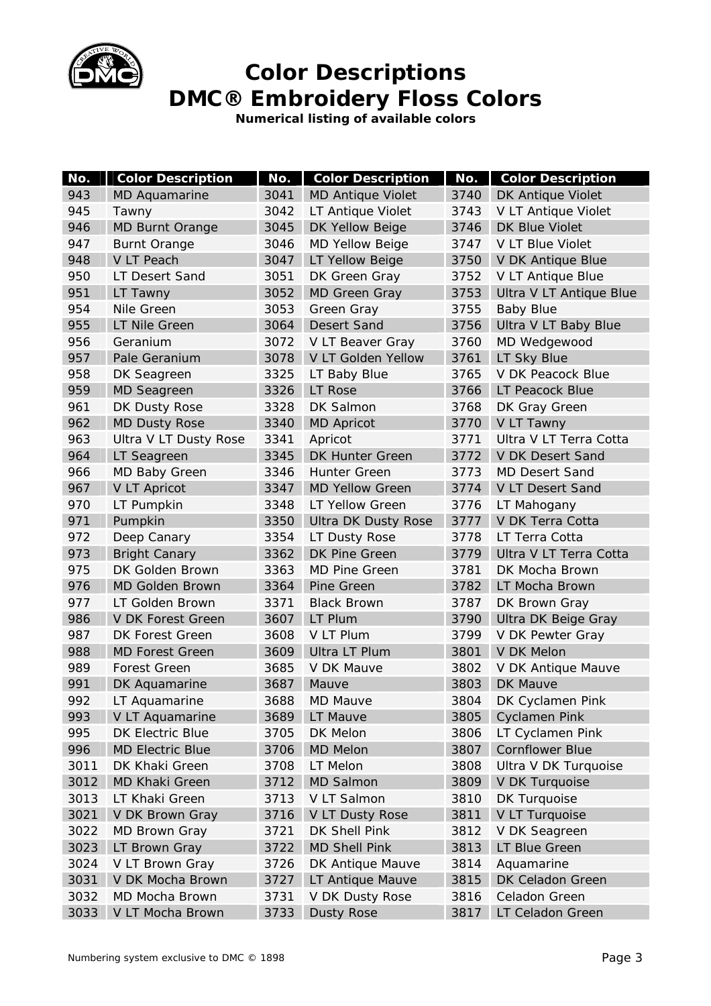

**Numerical listing of available colors** 

| No.  | <b>Color Description</b> | No.  | <b>Color Description</b>   | No.  | <b>Color Description</b>   |
|------|--------------------------|------|----------------------------|------|----------------------------|
| 943  | MD Aquamarine            | 3041 | <b>MD Antique Violet</b>   | 3740 | DK Antique Violet          |
| 945  | Tawny                    | 3042 | LT Antique Violet          | 3743 | V LT Antique Violet        |
| 946  | <b>MD Burnt Orange</b>   | 3045 | DK Yellow Beige            | 3746 | DK Blue Violet             |
| 947  | <b>Burnt Orange</b>      | 3046 | <b>MD Yellow Beige</b>     | 3747 | V LT Blue Violet           |
| 948  | V LT Peach               | 3047 | LT Yellow Beige            | 3750 | V DK Antique Blue          |
| 950  | LT Desert Sand           | 3051 | DK Green Gray              | 3752 | V LT Antique Blue          |
| 951  | LT Tawny                 | 3052 | <b>MD Green Gray</b>       | 3753 | Ultra V LT Antique Blue    |
| 954  | Nile Green               | 3053 | Green Gray                 | 3755 | <b>Baby Blue</b>           |
| 955  | LT Nile Green            | 3064 | <b>Desert Sand</b>         | 3756 | Ultra V LT Baby Blue       |
| 956  | Geranium                 | 3072 | V LT Beaver Gray           | 3760 | MD Wedgewood               |
| 957  | Pale Geranium            | 3078 | V LT Golden Yellow         | 3761 | LT Sky Blue                |
| 958  | DK Seagreen              | 3325 | LT Baby Blue               | 3765 | V DK Peacock Blue          |
| 959  | <b>MD Seagreen</b>       | 3326 | <b>LT Rose</b>             | 3766 | LT Peacock Blue            |
| 961  | DK Dusty Rose            | 3328 | DK Salmon                  | 3768 | DK Gray Green              |
| 962  | <b>MD Dusty Rose</b>     | 3340 | <b>MD Apricot</b>          | 3770 | V LT Tawny                 |
| 963  | Ultra V LT Dusty Rose    | 3341 | Apricot                    | 3771 | Ultra V LT Terra Cotta     |
| 964  | LT Seagreen              | 3345 | <b>DK Hunter Green</b>     | 3772 | V DK Desert Sand           |
| 966  | MD Baby Green            | 3346 | <b>Hunter Green</b>        | 3773 | <b>MD Desert Sand</b>      |
| 967  | <b>V LT Apricot</b>      | 3347 | <b>MD Yellow Green</b>     | 3774 | V LT Desert Sand           |
| 970  | LT Pumpkin               | 3348 | LT Yellow Green            | 3776 | LT Mahogany                |
| 971  | Pumpkin                  | 3350 | <b>Ultra DK Dusty Rose</b> | 3777 | V DK Terra Cotta           |
| 972  | Deep Canary              | 3354 | LT Dusty Rose              | 3778 | LT Terra Cotta             |
| 973  | <b>Bright Canary</b>     | 3362 | <b>DK Pine Green</b>       | 3779 | Ultra V LT Terra Cotta     |
| 975  | DK Golden Brown          | 3363 | <b>MD Pine Green</b>       | 3781 | DK Mocha Brown             |
| 976  | <b>MD Golden Brown</b>   | 3364 | Pine Green                 | 3782 | LT Mocha Brown             |
| 977  | LT Golden Brown          | 3371 | <b>Black Brown</b>         | 3787 | DK Brown Gray              |
| 986  | V DK Forest Green        | 3607 | LT Plum                    | 3790 | <b>Ultra DK Beige Gray</b> |
| 987  | <b>DK Forest Green</b>   | 3608 | V LT Plum                  | 3799 | V DK Pewter Gray           |
| 988  | <b>MD Forest Green</b>   | 3609 | Ultra LT Plum              | 3801 | V DK Melon                 |
| 989  | <b>Forest Green</b>      | 3685 | V DK Mauve                 | 3802 | V DK Antique Mauve         |
| 991  | DK Aquamarine            | 3687 | Mauve                      | 3803 | <b>DK Mauve</b>            |
| 992  | LT Aquamarine            | 3688 | <b>MD Mauve</b>            | 3804 | DK Cyclamen Pink           |
| 993  | V LT Aquamarine          | 3689 | LT Mauve                   | 3805 | <b>Cyclamen Pink</b>       |
| 995  | <b>DK Electric Blue</b>  | 3705 | DK Melon                   | 3806 | LT Cyclamen Pink           |
| 996  | <b>MD Electric Blue</b>  | 3706 | <b>MD Melon</b>            | 3807 | <b>Cornflower Blue</b>     |
| 3011 | DK Khaki Green           | 3708 | LT Melon                   | 3808 | Ultra V DK Turquoise       |
| 3012 | <b>MD Khaki Green</b>    | 3712 | <b>MD Salmon</b>           | 3809 | V DK Turquoise             |
| 3013 | LT Khaki Green           | 3713 | V LT Salmon                | 3810 | DK Turquoise               |
| 3021 | V DK Brown Gray          | 3716 | V LT Dusty Rose            | 3811 | V LT Turquoise             |
| 3022 | <b>MD Brown Gray</b>     | 3721 | DK Shell Pink              | 3812 | V DK Seagreen              |
| 3023 | LT Brown Gray            | 3722 | <b>MD Shell Pink</b>       | 3813 | LT Blue Green              |
| 3024 | V LT Brown Gray          | 3726 | DK Antique Mauve           | 3814 | Aquamarine                 |
| 3031 | V DK Mocha Brown         | 3727 | LT Antique Mauve           | 3815 | DK Celadon Green           |
| 3032 | MD Mocha Brown           | 3731 | V DK Dusty Rose            | 3816 | Celadon Green              |
| 3033 | V LT Mocha Brown         | 3733 | <b>Dusty Rose</b>          | 3817 | LT Celadon Green           |